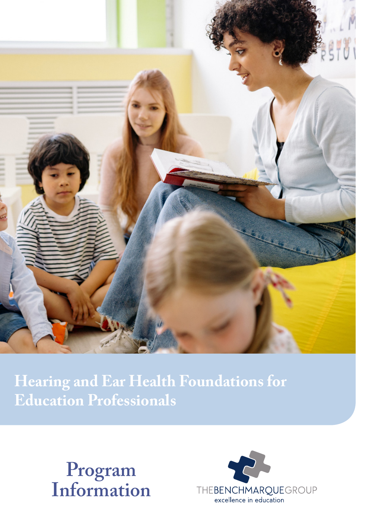

**Hearing and Ear Health Foundations for Education Professionals**



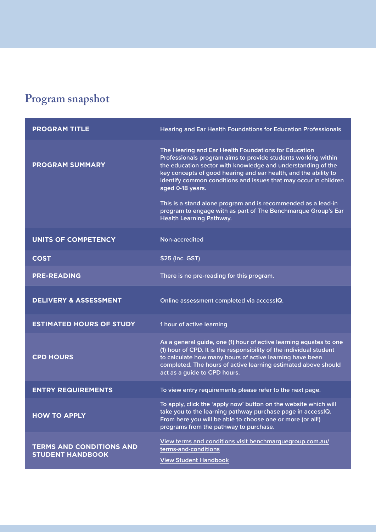# **Program snapshot**

| <b>PROGRAM TITLE</b>                                       | <b>Hearing and Ear Health Foundations for Education Professionals</b>                                                                                                                                                                                                                                                                                                                                                                                                                                                 |
|------------------------------------------------------------|-----------------------------------------------------------------------------------------------------------------------------------------------------------------------------------------------------------------------------------------------------------------------------------------------------------------------------------------------------------------------------------------------------------------------------------------------------------------------------------------------------------------------|
| <b>PROGRAM SUMMARY</b>                                     | The Hearing and Ear Health Foundations for Education<br>Professionals program aims to provide students working within<br>the education sector with knowledge and understanding of the<br>key concepts of good hearing and ear health, and the ability to<br>identify common conditions and issues that may occur in children<br>aged 0-18 years.<br>This is a stand alone program and is recommended as a lead-in<br>program to engage with as part of The Benchmarque Group's Ear<br><b>Health Learning Pathway.</b> |
| <b>UNITS OF COMPETENCY</b>                                 | Non-accredited                                                                                                                                                                                                                                                                                                                                                                                                                                                                                                        |
| <b>COST</b>                                                | \$25 (Inc. GST)                                                                                                                                                                                                                                                                                                                                                                                                                                                                                                       |
| <b>PRE-READING</b>                                         | There is no pre-reading for this program.                                                                                                                                                                                                                                                                                                                                                                                                                                                                             |
| <b>DELIVERY &amp; ASSESSMENT</b>                           | Online assessment completed via accessIQ.                                                                                                                                                                                                                                                                                                                                                                                                                                                                             |
| <b>ESTIMATED HOURS OF STUDY</b>                            | 1 hour of active learning                                                                                                                                                                                                                                                                                                                                                                                                                                                                                             |
| <b>CPD HOURS</b>                                           | As a general guide, one (1) hour of active learning equates to one<br>(1) hour of CPD. It is the responsibility of the individual student<br>to calculate how many hours of active learning have been<br>completed. The hours of active learning estimated above should<br>act as a guide to CPD hours.                                                                                                                                                                                                               |
| <b>ENTRY REQUIREMENTS</b>                                  | To view entry requirements please refer to the next page.                                                                                                                                                                                                                                                                                                                                                                                                                                                             |
| <b>HOW TO APPLY</b>                                        | To apply, click the 'apply now' button on the website which will<br>take you to the learning pathway purchase page in accessIQ.<br>From here you will be able to choose one or more (or all!)<br>programs from the pathway to purchase.                                                                                                                                                                                                                                                                               |
| <b>TERMS AND CONDITIONS AND</b><br><b>STUDENT HANDBOOK</b> | View terms and conditions visit benchmarquegroup.com.au/<br>terms-and-conditions<br><b>View Student Handbook</b>                                                                                                                                                                                                                                                                                                                                                                                                      |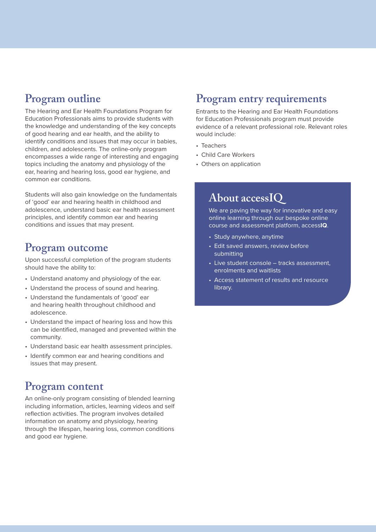# **Program outline**

The Hearing and Ear Health Foundations Program for Education Professionals aims to provide students with the knowledge and understanding of the key concepts of good hearing and ear health, and the ability to identify conditions and issues that may occur in babies, children, and adolescents. The online-only program encompasses a wide range of interesting and engaging topics including the anatomy and physiology of the ear, hearing and hearing loss, good ear hygiene, and common ear conditions.

Students will also gain knowledge on the fundamentals of 'good' ear and hearing health in childhood and adolescence, understand basic ear health assessment principles, and identify common ear and hearing conditions and issues that may present.

### **Program outcome**

Upon successful completion of the program students should have the ability to:

- Understand anatomy and physiology of the ear.
- Understand the process of sound and hearing.
- Understand the fundamentals of 'good' ear and hearing health throughout childhood and adolescence.
- Understand the impact of hearing loss and how this can be identified, managed and prevented within the community.
- Understand basic ear health assessment principles.
- Identify common ear and hearing conditions and issues that may present.

# **Program content**

An online-only program consisting of blended learning including information, articles, learning videos and self reflection activities. The program involves detailed information on anatomy and physiology, hearing through the lifespan, hearing loss, common conditions and good ear hygiene.

#### **Program entry requirements**

Entrants to the Hearing and Ear Health Foundations for Education Professionals program must provide evidence of a relevant professional role. Relevant roles would include:

- Teachers
- Child Care Workers
- Others on application

#### **About accessIQ**

We are paving the way for innovative and easy online learning through our bespoke online course and assessment platform, access**IQ**.

- Study anywhere, anytime
- Edit saved answers, review before submitting
- Live student console tracks assessment, enrolments and waitlists
- Access statement of results and resource library.